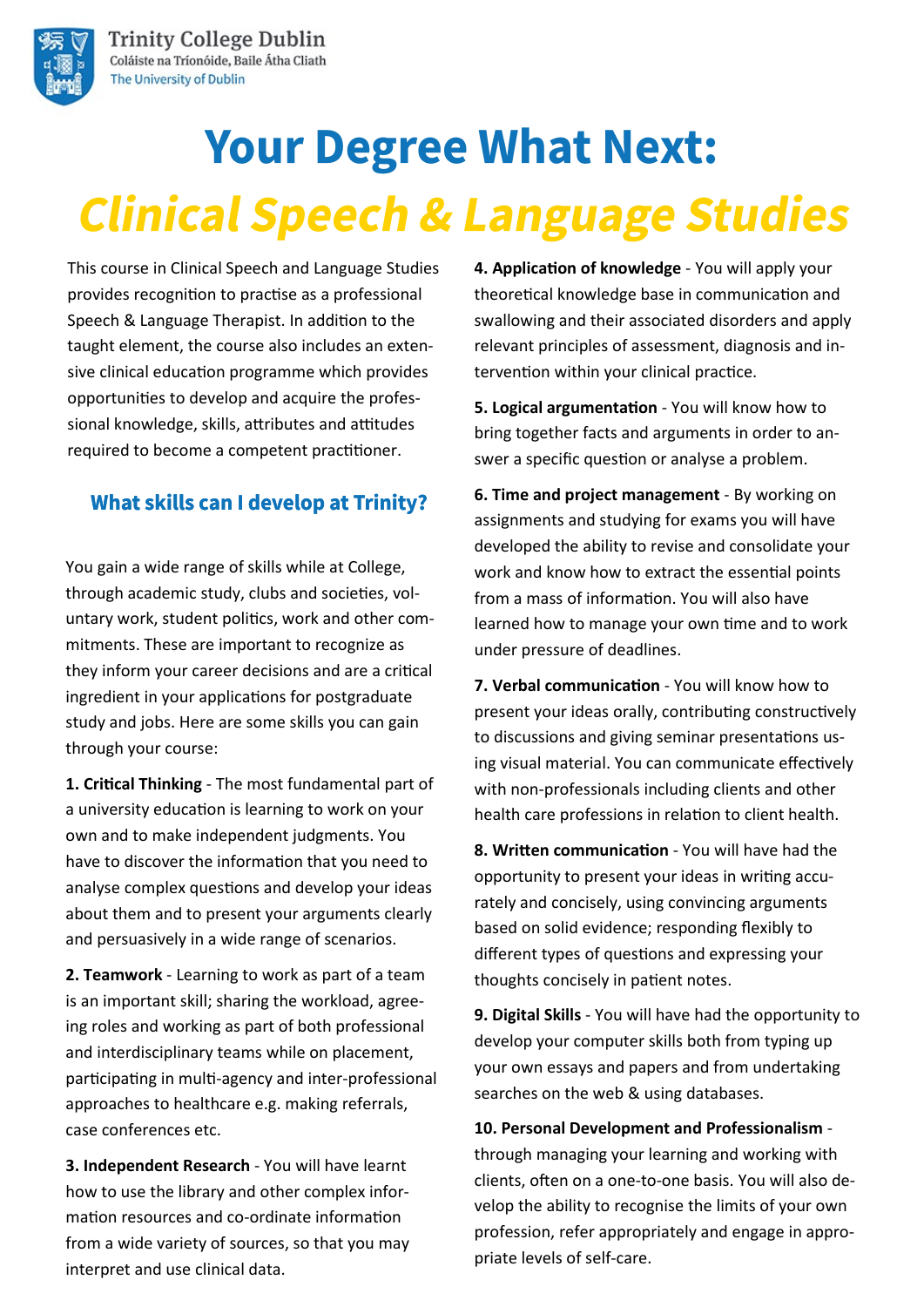

**Trinity College Dublin** Coláiste na Tríonóide, Baile Átha Cliath The University of Dublin

# **Your Degree What Next: Clinical Speech & Language Studies**

This course in Clinical Speech and Language Studies provides recognition to practise as a professional Speech & Language Therapist. In addition to the taught element, the course also includes an extensive clinical education programme which provides opportunities to develop and acquire the professional knowledge, skills, attributes and attitudes required to become a competent practitioner.

#### **What skills can I develop at Trinity?**

You gain a wide range of skills while at College, through academic study, clubs and societies, voluntary work, student politics, work and other commitments. These are important to recognize as they inform your career decisions and are a critical ingredient in your applications for postgraduate study and jobs. Here are some skills you can gain through your course:

**1. Critical Thinking** - The most fundamental part of a university education is learning to work on your own and to make independent judgments. You have to discover the information that you need to analyse complex questions and develop your ideas about them and to present your arguments clearly and persuasively in a wide range of scenarios.

**2. Teamwork** - Learning to work as part of a team is an important skill; sharing the workload, agreeing roles and working as part of both professional and interdisciplinary teams while on placement, participating in multi-agency and inter-professional approaches to healthcare e.g. making referrals, case conferences etc.

**3. Independent Research** - You will have learnt how to use the library and other complex information resources and co-ordinate information from a wide variety of sources, so that you may interpret and use clinical data.

**4. Application of knowledge** - You will apply your theoretical knowledge base in communication and swallowing and their associated disorders and apply relevant principles of assessment, diagnosis and intervention within your clinical practice.

**5. Logical argumentation** - You will know how to bring together facts and arguments in order to answer a specific question or analyse a problem.

**6. Time and project management** - By working on assignments and studying for exams you will have developed the ability to revise and consolidate your work and know how to extract the essential points from a mass of information. You will also have learned how to manage your own time and to work under pressure of deadlines.

**7. Verbal communication** - You will know how to present your ideas orally, contributing constructively to discussions and giving seminar presentations using visual material. You can communicate effectively with non-professionals including clients and other health care professions in relation to client health.

**8. Written communication** - You will have had the opportunity to present your ideas in writing accurately and concisely, using convincing arguments based on solid evidence; responding flexibly to different types of questions and expressing your thoughts concisely in patient notes.

**9. Digital Skills** - You will have had the opportunity to develop your computer skills both from typing up your own essays and papers and from undertaking searches on the web & using databases.

**10. Personal Development and Professionalism**  through managing your learning and working with clients, often on a one-to-one basis. You will also develop the ability to recognise the limits of your own profession, refer appropriately and engage in appropriate levels of self-care.